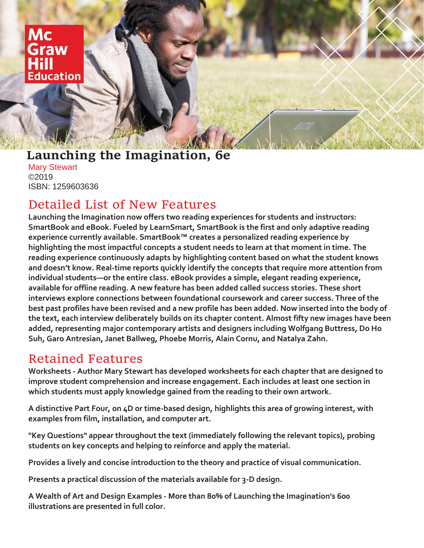Mc raw ducation

### **Launching the Imagination, 6e**

Mary Stewart ©2019 ISBN: 1259603636

## Detailed List of New Features

**Launching the Imagination now offers two reading experiences for students and instructors: SmartBook and eBook. Fueled by LearnSmart, SmartBook is the first and only adaptive reading experience currently available. SmartBook™ creates a personalized reading experience by highlighting the most impactful concepts a student needs to learn at that moment in time. The reading experience continuously adapts by highlighting content based on what the student knows and doesn't know. Real-time reports quickly identify the concepts that require more attention from individual students—or the entire class. eBook provides a simple, elegant reading experience, available for offline reading. A new feature has been added called success stories. These short interviews explore connections between foundational coursework and career success. Three of the best past profiles have been revised and a new profile has been added. Now inserted into the body of the text, each interview deliberately builds on its chapter content. Almost fifty new images have been added, representing major contemporary artists and designers including Wolfgang Buttress, Do Ho Suh, Garo Antresian, Janet Ballweg, Phoebe Morris, Alain Cornu, and Natalya Zahn.**

# Retained Features

**Worksheets - Author Mary Stewart has developed worksheets for each chapter that are designed to improve student comprehension and increase engagement. Each includes at least one section in which students must apply knowledge gained from the reading to their own artwork.**

**A distinctive Part Four, on 4D or time-based design, highlights this area of growing interest, with examples from film, installation, and computer art.**

**"Key Questions" appear throughout the text (immediately following the relevant topics), probing students on key concepts and helping to reinforce and apply the material.**

**Provides a lively and concise introduction to the theory and practice of visual communication.**

**Presents a practical discussion of the materials available for 3-D design.**

**A Wealth of Art and Design Examples - More than 80% of Launching the Imagination's 600 illustrations are presented in full color.**